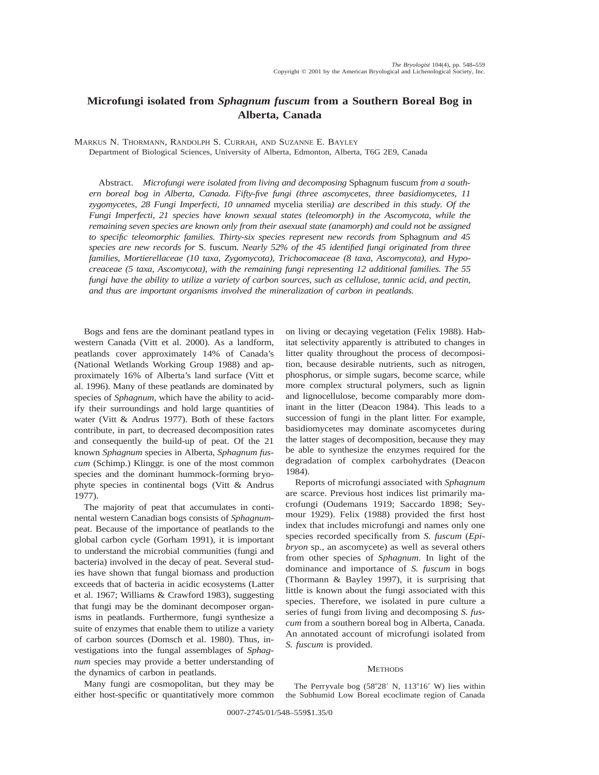# **Microfungi isolated from** *Sphagnum fuscum* **from a Southern Boreal Bog in Alberta, Canada**

MARKUS N. THORMANN, RANDOLPH S. CURRAH, AND SUZANNE E. BAYLEY

Department of Biological Sciences, University of Alberta, Edmonton, Alberta, T6G 2E9, Canada

Abstract. *Microfungi were isolated from living and decomposing* Sphagnum fuscum *from a southern boreal bog in Alberta, Canada. Fifty-five fungi (three ascomycetes, three basidiomycetes, 11 zygomycetes, 28 Fungi Imperfecti, 10 unnamed* mycelia sterilia*) are described in this study. Of the Fungi Imperfecti, 21 species have known sexual states (teleomorph) in the Ascomycota, while the remaining seven species are known only from their asexual state (anamorph) and could not be assigned to specific teleomorphic families. Thirty-six species represent new records from* Sphagnum *and 45 species are new records for* S. fuscum*. Nearly 52% of the 45 identified fungi originated from three families, Mortierellaceae (10 taxa, Zygomycota), Trichocomaceae (8 taxa, Ascomycota), and Hypocreaceae (5 taxa, Ascomycota), with the remaining fungi representing 12 additional families. The 55 fungi have the ability to utilize a variety of carbon sources, such as cellulose, tannic acid, and pectin, and thus are important organisms involved the mineralization of carbon in peatlands.*

Bogs and fens are the dominant peatland types in western Canada (Vitt et al. 2000). As a landform, peatlands cover approximately 14% of Canada's (National Wetlands Working Group 1988) and approximately 16% of Alberta's land surface (Vitt et al. 1996). Many of these peatlands are dominated by species of *Sphagnum,* which have the ability to acidify their surroundings and hold large quantities of water (Vitt & Andrus 1977). Both of these factors contribute, in part, to decreased decomposition rates and consequently the build-up of peat. Of the 21 known *Sphagnum* species in Alberta, *Sphagnum fuscum* (Schimp.) Klinggr. is one of the most common species and the dominant hummock-forming bryophyte species in continental bogs (Vitt & Andrus 1977).

The majority of peat that accumulates in continental western Canadian bogs consists of *Sphagnum*peat. Because of the importance of peatlands to the global carbon cycle (Gorham 1991), it is important to understand the microbial communities (fungi and bacteria) involved in the decay of peat. Several studies have shown that fungal biomass and production exceeds that of bacteria in acidic ecosystems (Latter et al. 1967; Williams & Crawford 1983), suggesting that fungi may be the dominant decomposer organisms in peatlands. Furthermore, fungi synthesize a suite of enzymes that enable them to utilize a variety of carbon sources (Domsch et al. 1980). Thus, investigations into the fungal assemblages of *Sphagnum* species may provide a better understanding of the dynamics of carbon in peatlands.

Many fungi are cosmopolitan, but they may be either host-specific or quantitatively more common on living or decaying vegetation (Felix 1988). Habitat selectivity apparently is attributed to changes in litter quality throughout the process of decomposition, because desirable nutrients, such as nitrogen, phosphorus, or simple sugars, become scarce, while more complex structural polymers, such as lignin and lignocellulose, become comparably more dominant in the litter (Deacon 1984). This leads to a succession of fungi in the plant litter. For example, basidiomycetes may dominate ascomycetes during the latter stages of decomposition, because they may be able to synthesize the enzymes required for the degradation of complex carbohydrates (Deacon 1984).

Reports of microfungi associated with *Sphagnum* are scarce. Previous host indices list primarily macrofungi (Oudemans 1919; Saccardo 1898; Seymour 1929). Felix (1988) provided the first host index that includes microfungi and names only one species recorded specifically from *S. fuscum* (*Epibryon* sp., an ascomycete) as well as several others from other species of *Sphagnum.* In light of the dominance and importance of *S. fuscum* in bogs (Thormann & Bayley 1997), it is surprising that little is known about the fungi associated with this species. Therefore, we isolated in pure culture a series of fungi from living and decomposing *S. fuscum* from a southern boreal bog in Alberta, Canada. An annotated account of microfungi isolated from *S. fuscum* is provided.

## **METHODS**

The Perryvale bog  $(58°28' \text{ N}, 113°16' \text{ W})$  lies within the Subhumid Low Boreal ecoclimate region of Canada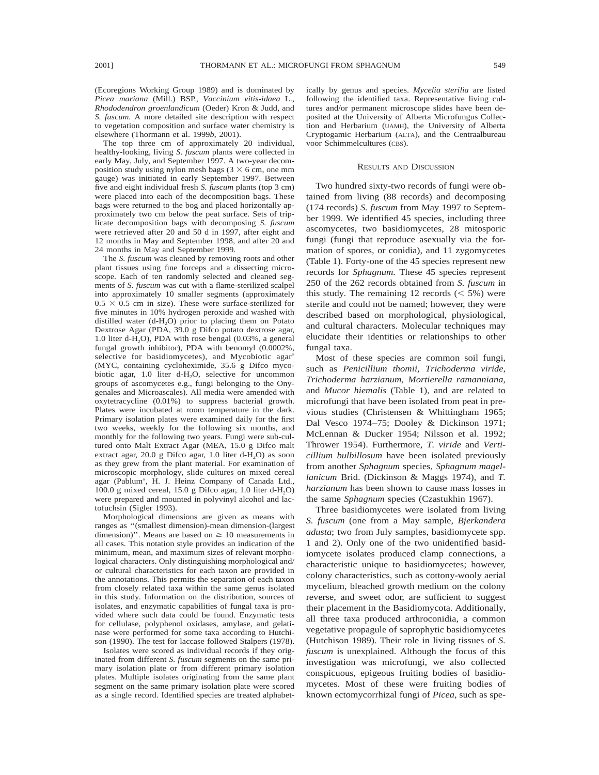(Ecoregions Working Group 1989) and is dominated by *Picea mariana* (Mill.) BSP., *Vaccinium vitis-idaea* L., *Rhododendron groenlandicum* (Oeder) Kron & Judd, and *S. fuscum.* A more detailed site description with respect to vegetation composition and surface water chemistry is elsewhere (Thormann et al. 1999*b*, 2001).

The top three cm of approximately 20 individual, healthy-looking, living *S. fuscum* plants were collected in early May, July, and September 1997. A two-year decomposition study using nylon mesh bags  $(3 \times 6 \text{ cm}, \text{ one mm})$ gauge) was initiated in early September 1997. Between five and eight individual fresh *S. fuscum* plants (top 3 cm) were placed into each of the decomposition bags. These bags were returned to the bog and placed horizontally approximately two cm below the peat surface. Sets of triplicate decomposition bags with decomposing *S. fuscum* were retrieved after 20 and 50 d in 1997, after eight and 12 months in May and September 1998, and after 20 and 24 months in May and September 1999.

The *S. fuscum* was cleaned by removing roots and other plant tissues using fine forceps and a dissecting microscope. Each of ten randomly selected and cleaned segments of *S. fuscum* was cut with a flame-sterilized scalpel into approximately 10 smaller segments (approximately  $0.5 \times 0.5$  cm in size). These were surface-sterilized for five minutes in 10% hydrogen peroxide and washed with distilled water  $(d-H_2O)$  prior to placing them on Potato Dextrose Agar (PDA, 39.0 g Difco potato dextrose agar, 1.0 liter d-H<sub>2</sub>O), PDA with rose bengal  $(0.03\%$ , a general fungal growth inhibitor), PDA with benomyl (0.0002%, selective for basidiomycetes), and Mycobiotic agar<sup>®</sup> (MYC, containing cycloheximide, 35.6 g Difco mycobiotic agar, 1.0 liter d- $H_2O$ , selective for uncommon groups of ascomycetes e.g., fungi belonging to the Onygenales and Microascales). All media were amended with oxytetracycline (0.01%) to suppress bacterial growth. Plates were incubated at room temperature in the dark. Primary isolation plates were examined daily for the first two weeks, weekly for the following six months, and monthly for the following two years. Fungi were sub-cultured onto Malt Extract Agar (MEA, 15.0 g Difco malt extract agar,  $20.0$  g Difco agar,  $1.0$  liter d-H<sub>2</sub>O) as soon as they grew from the plant material. For examination of microscopic morphology, slide cultures on mixed cereal agar (Pablum<sup>®</sup>, H. J. Heinz Company of Canada Ltd., 100.0 g mixed cereal, 15.0 g Difco agar, 1.0 liter d-H<sub>2</sub>O) were prepared and mounted in polyvinyl alcohol and lactofuchsin (Sigler 1993).

Morphological dimensions are given as means with ranges as ''(smallest dimension)-mean dimension-(largest dimension)". Means are based on  $\geq 10$  measurements in all cases. This notation style provides an indication of the minimum, mean, and maximum sizes of relevant morphological characters. Only distinguishing morphological and/ or cultural characteristics for each taxon are provided in the annotations. This permits the separation of each taxon from closely related taxa within the same genus isolated in this study. Information on the distribution, sources of isolates, and enzymatic capabilities of fungal taxa is provided where such data could be found. Enzymatic tests for cellulase, polyphenol oxidases, amylase, and gelatinase were performed for some taxa according to Hutchison (1990). The test for laccase followed Stalpers (1978).

Isolates were scored as individual records if they originated from different *S. fuscum* segments on the same primary isolation plate or from different primary isolation plates. Multiple isolates originating from the same plant segment on the same primary isolation plate were scored as a single record. Identified species are treated alphabetically by genus and species. *Mycelia sterilia* are listed following the identified taxa. Representative living cultures and/or permanent microscope slides have been deposited at the University of Alberta Microfungus Collection and Herbarium (UAMH), the University of Alberta Cryptogamic Herbarium (ALTA), and the Centraalbureau voor Schimmelcultures (CBS).

#### RESULTS AND DISCUSSION

Two hundred sixty-two records of fungi were obtained from living (88 records) and decomposing (174 records) *S. fuscum* from May 1997 to September 1999. We identified 45 species, including three ascomycetes, two basidiomycetes, 28 mitosporic fungi (fungi that reproduce asexually via the formation of spores, or conidia), and 11 zygomycetes (Table 1). Forty-one of the 45 species represent new records for *Sphagnum.* These 45 species represent 250 of the 262 records obtained from *S. fuscum* in this study. The remaining 12 records  $(< 5\%)$  were sterile and could not be named; however, they were described based on morphological, physiological, and cultural characters. Molecular techniques may elucidate their identities or relationships to other fungal taxa.

Most of these species are common soil fungi, such as *Penicillium thomii, Trichoderma viride, Trichoderma harzianum, Mortierella ramanniana,* and *Mucor hiemalis* (Table 1), and are related to microfungi that have been isolated from peat in previous studies (Christensen & Whittingham 1965; Dal Vesco 1974–75; Dooley & Dickinson 1971; McLennan & Ducker 1954; Nilsson et al. 1992; Thrower 1954). Furthermore, *T. viride* and *Verticillium bulbillosum* have been isolated previously from another *Sphagnum* species, *Sphagnum magellanicum* Brid. (Dickinson & Maggs 1974), and *T. harzianum* has been shown to cause mass losses in the same *Sphagnum* species (Czastukhin 1967).

Three basidiomycetes were isolated from living *S. fuscum* (one from a May sample, *Bjerkandera adusta*; two from July samples, basidiomycete spp. 1 and 2). Only one of the two unidentified basidiomycete isolates produced clamp connections, a characteristic unique to basidiomycetes; however, colony characteristics, such as cottony-wooly aerial mycelium, bleached growth medium on the colony reverse, and sweet odor, are sufficient to suggest their placement in the Basidiomycota. Additionally, all three taxa produced arthroconidia, a common vegetative propagule of saprophytic basidiomycetes (Hutchison 1989). Their role in living tissues of *S. fuscum* is unexplained. Although the focus of this investigation was microfungi, we also collected conspicuous, epigeous fruiting bodies of basidiomycetes. Most of these were fruiting bodies of known ectomycorrhizal fungi of *Picea,* such as spe-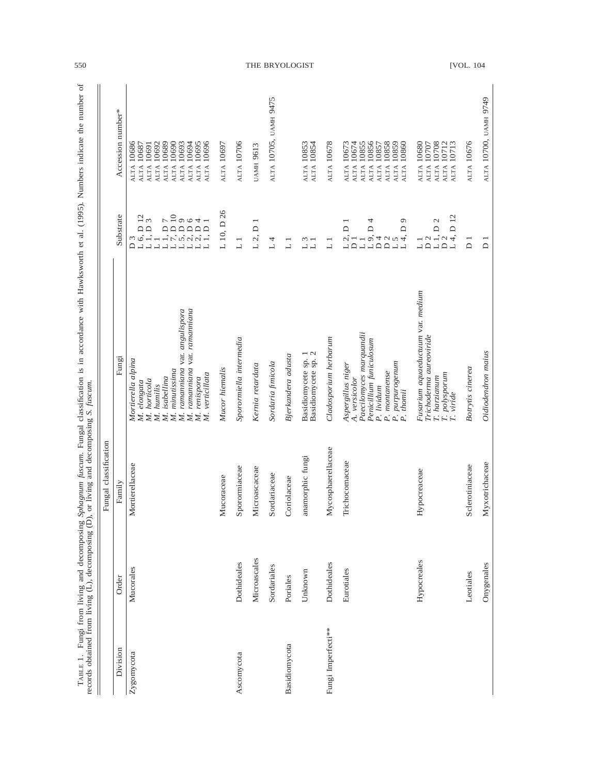|                    |              | Fungal classification |                                                                                                                                                                                                                              |                                                                                                                                                                                                                                                                                                                                                                                                                                                                                                                                                              |                                                                                                                                                                                        |
|--------------------|--------------|-----------------------|------------------------------------------------------------------------------------------------------------------------------------------------------------------------------------------------------------------------------|--------------------------------------------------------------------------------------------------------------------------------------------------------------------------------------------------------------------------------------------------------------------------------------------------------------------------------------------------------------------------------------------------------------------------------------------------------------------------------------------------------------------------------------------------------------|----------------------------------------------------------------------------------------------------------------------------------------------------------------------------------------|
| Division           | Order        | Family                | Fungi                                                                                                                                                                                                                        | Substrate                                                                                                                                                                                                                                                                                                                                                                                                                                                                                                                                                    | Accession number*                                                                                                                                                                      |
| Zygomycota         | Mucorales    | Mortierellaceae       | ramanniana var. ramanniana<br>ramamiana var. angulispora<br>Mortierella alpina<br>minutissima<br>M. verticillata<br>isabellina<br>renispora<br>horticola<br>M. elongata<br>humilis<br>M.<br>M.<br>M.<br>N.<br>M.<br>M.<br>N. | $\frac{2}{3}$<br>$I = \begin{bmatrix} 0 & 0 & 0 \\ 0 & 0 & 0 \\ 0 & 0 & 0 \\ 0 & 0 & 0 \\ 0 & 0 & 0 \\ 0 & 0 & 0 \\ 0 & 0 & 0 \\ 0 & 0 & 0 \\ 0 & 0 & 0 \\ 0 & 0 & 0 \\ 0 & 0 & 0 \\ 0 & 0 & 0 \\ 0 & 0 & 0 \\ 0 & 0 & 0 \\ 0 & 0 & 0 \\ 0 & 0 & 0 \\ 0 & 0 & 0 \\ 0 & 0 & 0 \\ 0 & 0 & 0 \\ 0 & 0 & 0 \\ 0 & 0 & 0 \\ 0 & 0 & 0 \\ 0 & 0 & 0 & 0 \\ 0$<br>1, D<br>$\Box$<br>$\Box$<br>$\frac{3}{6}$<br>$\overline{a}$<br>$\Box$<br>$\overline{\phantom{0}}$<br>$\Box$<br>$\Box \Box$<br>$\overline{\phantom{0}}$<br>$\Box$<br>$\overline{\phantom{0}}$<br>≏ | ALTA 10696<br>10689<br>ALTA 10694<br>ALTA 10695<br>10690<br>ALTA 10693<br>10686<br>ALTA 10692<br>10687<br>ALTA 10691<br>ALTA <sup>1</sup><br><b>ALTA</b><br><b>ALTA</b><br><b>ALTA</b> |
|                    |              | Mucoraceae            | Mucor hiemalis                                                                                                                                                                                                               | L 10, D 26                                                                                                                                                                                                                                                                                                                                                                                                                                                                                                                                                   | ALTA 10697                                                                                                                                                                             |
| Ascomycota         | Dothideales  | Sporormiaceae         | Sporormiella intermedia                                                                                                                                                                                                      | $\overline{\phantom{0}}$                                                                                                                                                                                                                                                                                                                                                                                                                                                                                                                                     | ALTA 10706                                                                                                                                                                             |
|                    | Microascales | Microascaceae         | Kernia retardata                                                                                                                                                                                                             | $L$ 2, $D$ 1                                                                                                                                                                                                                                                                                                                                                                                                                                                                                                                                                 | <b>UAMH 9613</b>                                                                                                                                                                       |
|                    | Sordariales  | Sordariaceae          | Sordaria finicola                                                                                                                                                                                                            | 4<br>$\overline{\phantom{0}}$                                                                                                                                                                                                                                                                                                                                                                                                                                                                                                                                | ALTA 10705, UAMH 9475                                                                                                                                                                  |
| Basidiomycota      | Poriales     | Coriolaceae           | Bjerkandera adusta                                                                                                                                                                                                           | $\overline{\phantom{0}}$<br>$\Box$                                                                                                                                                                                                                                                                                                                                                                                                                                                                                                                           |                                                                                                                                                                                        |
|                    | Unknown      | anamorphic fungi      | Basidiomycete sp. 1<br>Basidiomycete sp. 2                                                                                                                                                                                   | $\frac{1}{2}$<br>$\Box \Box$                                                                                                                                                                                                                                                                                                                                                                                                                                                                                                                                 | ALTA 10854<br>ALTA 10853                                                                                                                                                               |
| Fungi Imperfecti** | Dothideales  | Mycosphaerellaceae    | Cladosporium herbarum                                                                                                                                                                                                        | $\overline{ }$<br>$\overline{\phantom{0}}$                                                                                                                                                                                                                                                                                                                                                                                                                                                                                                                   | ALTA 10678                                                                                                                                                                             |
|                    | Eurotiales   | Trichocomaceae        | Paecilomyces marquandii<br>Penicillium funiculosum<br>P. purpurogenum<br>P. thomii<br>Aspergillus niger<br>P. montanense<br>A. versicolor<br>P. lividum                                                                      | $\circ$<br>4<br>$\Box$<br>$\Box$<br>$\Box$<br>o,<br>$\alpha$ <sup>-1</sup><br>4004<br>$\Box$<br>$\overline{a}$<br>$\Box$<br>$\overline{a}$<br>$\overline{\phantom{0}}$<br>$\overline{\phantom{0}}$<br>L                                                                                                                                                                                                                                                                                                                                                      | 10856<br>10855<br>10858<br>10859<br>10860<br>ALTA 10673<br>10674<br>10857<br>ALTA<br><b>ALTA</b><br><b>ALTA</b><br><b>ALTA</b><br><b>ALTA</b><br><b>ALTA</b><br><b>ALTA</b>            |
|                    | Hypocreales  | Hypocreaceae          | Fusarium aquaeductuum var. medium<br>Trichoderna aureoviride<br>$\begin{array}{l} T.\ polysporum \\ T.\ viride \end{array}$<br>T. harzianum                                                                                  | D <sub>12</sub><br>$\mathcal{L}$<br>$\frac{1}{2}$<br>$\frac{1}{1}$ , D<br>$\frac{1}{2}$<br>$\Box$<br>$\Box$<br>$\frac{1}{2}$<br>$\Box$<br>L                                                                                                                                                                                                                                                                                                                                                                                                                  | 10708<br>ALTA 10712<br>ALTA 10713<br>ALTA 10680<br>10707<br><b>ALTA</b><br><b>ALTA</b>                                                                                                 |
|                    | Leotiales    | Sclerotiniaceae       | Botrytis cinerea                                                                                                                                                                                                             | $\overline{D}$                                                                                                                                                                                                                                                                                                                                                                                                                                                                                                                                               | ALTA 10676                                                                                                                                                                             |
|                    | Onygenales   | Myxotrichaceae        | Oidiodendron maius                                                                                                                                                                                                           | $\overline{D}$                                                                                                                                                                                                                                                                                                                                                                                                                                                                                                                                               | ALTA 10700, UAMH 9749                                                                                                                                                                  |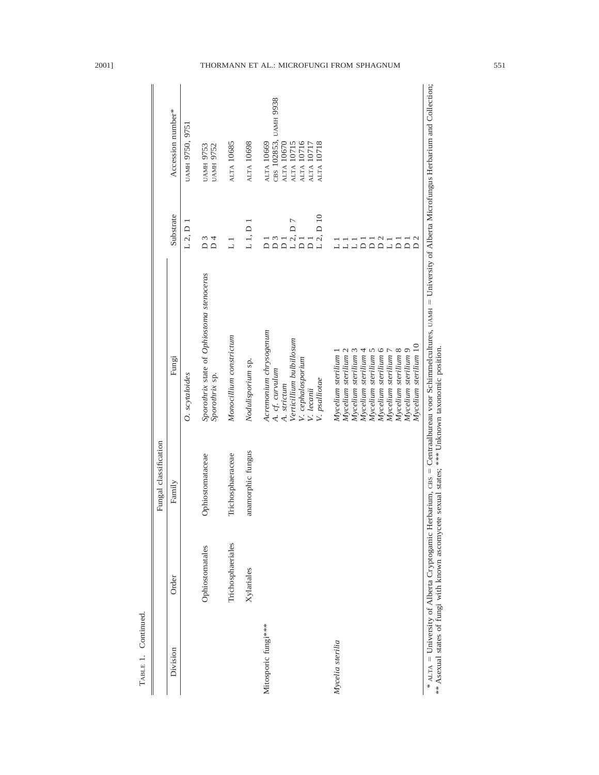|                     |                   | Fungal classification                                                                           |                                                                                                                                                                                                                      |                                                                                                                                                                                                                                                                  |                                                                                                           |
|---------------------|-------------------|-------------------------------------------------------------------------------------------------|----------------------------------------------------------------------------------------------------------------------------------------------------------------------------------------------------------------------|------------------------------------------------------------------------------------------------------------------------------------------------------------------------------------------------------------------------------------------------------------------|-----------------------------------------------------------------------------------------------------------|
| Division            | Order             | Family                                                                                          | Fungi                                                                                                                                                                                                                | Substrate                                                                                                                                                                                                                                                        | Accession number*                                                                                         |
|                     |                   |                                                                                                 | O. scytaloides                                                                                                                                                                                                       | L 2, D 1                                                                                                                                                                                                                                                         | UAMH 9750, 9751                                                                                           |
|                     | Ophiostomatales   | Ophiostomataceae                                                                                | Sporothrix state of Ophiostoma stenoceras<br>Sporothrix sp.                                                                                                                                                          | $\overline{D}$ 3<br>$\overline{D}$ 4                                                                                                                                                                                                                             | <b>UAMH 9753</b><br><b>UAMH 9752</b>                                                                      |
|                     | Trichosphaeriales | Trichosphaeraceae                                                                               | Monocillium constrictum                                                                                                                                                                                              | $\Box$                                                                                                                                                                                                                                                           | ALTA 10685                                                                                                |
|                     | Xylariales        | anamorphic fungus                                                                               | Nodulisporium sp.                                                                                                                                                                                                    | L1, D1                                                                                                                                                                                                                                                           | ALTA 10698                                                                                                |
| Mitosporic fungi*** |                   |                                                                                                 | Acremonium chrysogenum<br>Verticillium bulbillosum<br>V. cephalosporium<br>A. cf. curvulum<br>V. psalliotae<br>A. strictum<br>V. lecanii                                                                             | $L$ 2, $D$ 10<br>$L$ 2, D $7$<br>$\begin{array}{c} 2 \\ 0 \\ 1 \end{array}$<br>$\overline{\mathsf{D}}$<br>$\overline{\Omega}$<br>$\overline{D}$                                                                                                                  | CBS 102853, UAMH 9938<br>ALTA 10670<br>ALTA 10716<br>ALTA 10718<br>ALTA 10669<br>ALTA 10715<br>ALTA 10717 |
| Mycelia sterilia    |                   |                                                                                                 | Mycelium sterilium 9<br>Mycelium sterilium 6<br>Mycelium sterilium 8<br>Mycelium sterilium 4<br>Mycelium sterilium 2<br>Mycelium sterilium 3<br>Mycelium sterilium 5<br>Mycelium sterilium 7<br>Mycelium sterilium 1 | $\overline{D}$<br>$\begin{array}{c}\n\overline{a} & \overline{a} & \overline{a} \\ \overline{a} & \overline{a} & \overline{a}\n\end{array}$<br>$\begin{array}{c}\n\overrightarrow{a} \\ \overrightarrow{b} \\ \overrightarrow{c}\n\end{array}$<br>$\overline{a}$ |                                                                                                           |
|                     |                   | ** Asexual states of fungi with known ascomycete sexual states; *** Unknown taxonomic position. | * ALTA = University of Alberta Cryptogamic Herbarium, cBs = Centraalbureau voor Schimmelcultures, UAMH = University of Alberta Microfungus Herbarium and Collection;<br>Mycelium sterilium 10                        |                                                                                                                                                                                                                                                                  |                                                                                                           |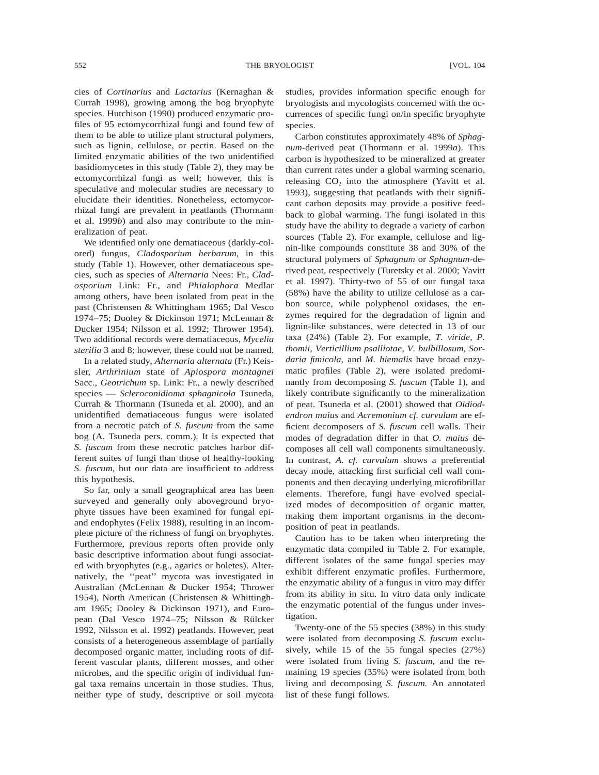552 THE BRYOLOGIST STEEPS IN THE RESOLUCE IN THE RESOLUCE IS A SET OF THE RESOLUCE OF THE BRYOLOGIST

cies of *Cortinarius* and *Lactarius* (Kernaghan & Currah 1998), growing among the bog bryophyte species. Hutchison (1990) produced enzymatic profiles of 95 ectomycorrhizal fungi and found few of them to be able to utilize plant structural polymers, such as lignin, cellulose, or pectin. Based on the limited enzymatic abilities of the two unidentified basidiomycetes in this study (Table 2), they may be ectomycorrhizal fungi as well; however, this is speculative and molecular studies are necessary to elucidate their identities. Nonetheless, ectomycorrhizal fungi are prevalent in peatlands (Thormann et al. 1999*b*) and also may contribute to the mineralization of peat.

We identified only one dematiaceous (darkly-colored) fungus, *Cladosporium herbarum,* in this study (Table 1). However, other dematiaceous species, such as species of *Alternaria* Nees: Fr., *Cladosporium* Link: Fr., and *Phialophora* Medlar among others, have been isolated from peat in the past (Christensen & Whittingham 1965; Dal Vesco 1974–75; Dooley & Dickinson 1971; McLennan & Ducker 1954; Nilsson et al. 1992; Thrower 1954). Two additional records were dematiaceous, *Mycelia sterilia* 3 and 8; however, these could not be named.

In a related study, *Alternaria alternata* (Fr.) Keissler, *Arthrinium* state of *Apiospora montagnei* Sacc., *Geotrichum* sp. Link: Fr., a newly described species — *Scleroconidioma sphagnicola* Tsuneda, Currah & Thormann (Tsuneda et al. 2000), and an unidentified dematiaceous fungus were isolated from a necrotic patch of *S. fuscum* from the same bog (A. Tsuneda pers. comm.). It is expected that *S. fuscum* from these necrotic patches harbor different suites of fungi than those of healthy-looking *S. fuscum,* but our data are insufficient to address this hypothesis.

So far, only a small geographical area has been surveyed and generally only aboveground bryophyte tissues have been examined for fungal epiand endophytes (Felix 1988), resulting in an incomplete picture of the richness of fungi on bryophytes. Furthermore, previous reports often provide only basic descriptive information about fungi associated with bryophytes (e.g., agarics or boletes). Alternatively, the ''peat'' mycota was investigated in Australian (McLennan & Ducker 1954; Thrower 1954), North American (Christensen & Whittingham 1965; Dooley & Dickinson 1971), and European (Dal Vesco 1974–75; Nilsson & Rülcker 1992, Nilsson et al. 1992) peatlands. However, peat consists of a heterogeneous assemblage of partially decomposed organic matter, including roots of different vascular plants, different mosses, and other microbes, and the specific origin of individual fungal taxa remains uncertain in those studies. Thus, neither type of study, descriptive or soil mycota

studies, provides information specific enough for bryologists and mycologists concerned with the occurrences of specific fungi on/in specific bryophyte species.

Carbon constitutes approximately 48% of *Sphagnum*-derived peat (Thormann et al. 1999*a*). This carbon is hypothesized to be mineralized at greater than current rates under a global warming scenario, releasing  $CO<sub>2</sub>$  into the atmosphere (Yavitt et al. 1993), suggesting that peatlands with their significant carbon deposits may provide a positive feedback to global warming. The fungi isolated in this study have the ability to degrade a variety of carbon sources (Table 2). For example, cellulose and lignin-like compounds constitute 38 and 30% of the structural polymers of *Sphagnum* or *Sphagnum*-derived peat, respectively (Turetsky et al. 2000; Yavitt et al. 1997). Thirty-two of 55 of our fungal taxa (58%) have the ability to utilize cellulose as a carbon source, while polyphenol oxidases, the enzymes required for the degradation of lignin and lignin-like substances, were detected in 13 of our taxa (24%) (Table 2). For example, *T. viride, P. thomii, Verticillium psalliotae, V. bulbillosum, Sordaria fimicola,* and *M. hiemalis* have broad enzymatic profiles (Table 2), were isolated predominantly from decomposing *S. fuscum* (Table 1), and likely contribute significantly to the mineralization of peat. Tsuneda et al. (2001) showed that *Oidiodendron maius* and *Acremonium cf. curvulum* are efficient decomposers of *S. fuscum* cell walls. Their modes of degradation differ in that *O. maius* decomposes all cell wall components simultaneously. In contrast, *A. cf. curvulum* shows a preferential decay mode, attacking first surficial cell wall components and then decaying underlying microfibrillar elements. Therefore, fungi have evolved specialized modes of decomposition of organic matter, making them important organisms in the decomposition of peat in peatlands.

Caution has to be taken when interpreting the enzymatic data compiled in Table 2. For example, different isolates of the same fungal species may exhibit different enzymatic profiles. Furthermore, the enzymatic ability of a fungus in vitro may differ from its ability in situ. In vitro data only indicate the enzymatic potential of the fungus under investigation.

Twenty-one of the 55 species (38%) in this study were isolated from decomposing *S. fuscum* exclusively, while 15 of the 55 fungal species (27%) were isolated from living *S. fuscum,* and the remaining 19 species (35%) were isolated from both living and decomposing *S. fuscum.* An annotated list of these fungi follows.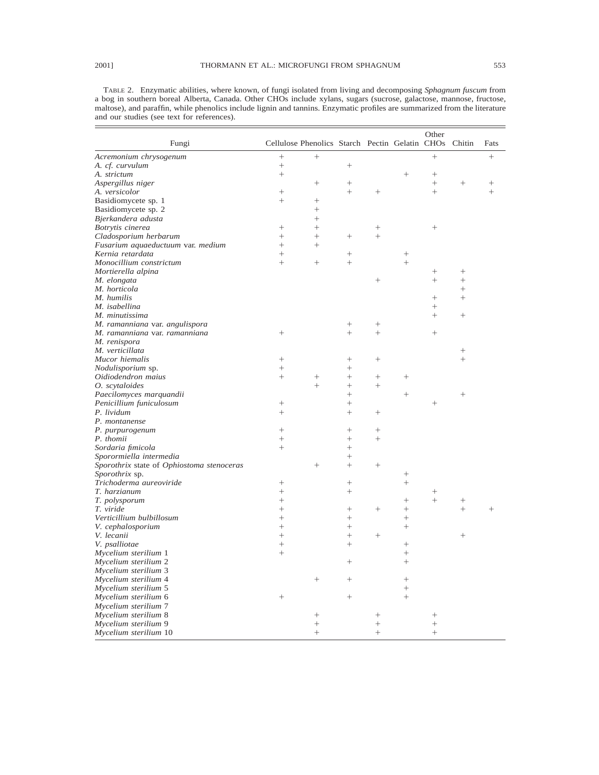TABLE 2. Enzymatic abilities, where known, of fungi isolated from living and decomposing *Sphagnum fuscum* from a bog in southern boreal Alberta, Canada. Other CHOs include xylans, sugars (sucrose, galactose, mannose, fructose, maltose), and paraffin, while phenolics include lignin and tannins. Enzymatic profiles are summarized from the literature and our studies (see text for references).

| Fungi                                     |                  | Cellulose Phenolics Starch Pectin Gelatin CHOs Chitin |        |                    |        | Other           |                 | Fats           |
|-------------------------------------------|------------------|-------------------------------------------------------|--------|--------------------|--------|-----------------|-----------------|----------------|
| Acremonium chrysogenum                    |                  | $\! + \!\!\!\!$                                       |        |                    |        | $^{+}$          |                 | $^{+}$         |
| A. cf. curvulum                           | $^{+}$           |                                                       | $^{+}$ |                    |        |                 |                 |                |
| A. strictum                               | $^{+}$           |                                                       |        |                    | $^{+}$ | $^{+}$          |                 |                |
| Aspergillus niger                         |                  | $^{+}$                                                | $^{+}$ |                    |        | $^{+}$          |                 | $^+$           |
| A. versicolor                             | $^{+}$           |                                                       | $^{+}$ | $^{+}$             |        | $^{+}$          |                 | $^{+}$         |
| Basidiomycete sp. 1                       | $^{+}$           | $\! + \!\!\!\!$                                       |        |                    |        |                 |                 |                |
| Basidiomycete sp. 2                       |                  | $^{+}$                                                |        |                    |        |                 |                 |                |
| Bjerkandera adusta                        |                  | $^{+}$                                                |        |                    |        |                 |                 |                |
| Botrytis cinerea                          | $^+$             | $^{+}$                                                |        | $^{+}$             |        | $^{+}$          |                 |                |
| Cladosporium herbarum                     | $^{+}$           | $^{+}$                                                | $^{+}$ | $^{+}$             |        |                 |                 |                |
| Fusarium aquaeductuum var. medium         | $^{+}$           | $^{+}$                                                |        |                    |        |                 |                 |                |
| Kernia retardata                          | $^{+}$           |                                                       | $^{+}$ |                    | $^{+}$ |                 |                 |                |
| Monocillium constrictum                   | $^{+}$           |                                                       | $^{+}$ |                    | $^{+}$ |                 |                 |                |
| Mortierella alpina                        |                  |                                                       |        |                    |        | $\! + \!\!\!\!$ | $\! + \!\!\!\!$ |                |
| M. elongata                               |                  |                                                       |        | $^{+}$             |        | $^{+}$          | $^{+}$          |                |
| M. horticola                              |                  |                                                       |        |                    |        |                 | $^{+}$          |                |
| M. humilis                                |                  |                                                       |        |                    |        | $^{+}$          | $^{+}$          |                |
| M. isabellina                             |                  |                                                       |        |                    |        | $^{+}$          |                 |                |
| M. minutissima                            |                  |                                                       |        |                    |        | $^{+}$          | $\! + \!\!\!\!$ |                |
| M. ramanniana var. angulispora            |                  |                                                       | $^{+}$ | $^{+}$             |        |                 |                 |                |
| M. ramanniana var. ramanniana             | $^{+}$           |                                                       | $^{+}$ | $^{+}$             |        | $\! + \!\!\!\!$ |                 |                |
| M. renispora                              |                  |                                                       |        |                    |        |                 |                 |                |
| M. verticillata                           |                  |                                                       |        |                    |        |                 | $^{+}$          |                |
| Mucor hiemalis                            | $^{+}$           |                                                       | $^{+}$ | $^{+}$             |        |                 |                 |                |
| Nodulisporium sp.                         | $\! + \!\!\!\!$  |                                                       | $^{+}$ |                    |        |                 |                 |                |
| Oidiodendron maius                        | $^{+}$           | $^{+}$                                                | $^{+}$ | $^{+}$             | $^{+}$ |                 |                 |                |
| O. scytaloides                            |                  | $^{+}$                                                | $^{+}$ | $^{+}$             |        |                 |                 |                |
|                                           |                  |                                                       | $^{+}$ |                    | $^{+}$ |                 | $^{+}$          |                |
| Paecilomyces marquandii                   | $^{+}$           |                                                       | $^{+}$ |                    |        | $^{+}$          |                 |                |
| Penicillium funiculosum                   | $^{+}$           |                                                       | $^{+}$ | $^{+}$             |        |                 |                 |                |
| P. lividum                                |                  |                                                       |        |                    |        |                 |                 |                |
| P. montanense                             |                  |                                                       |        |                    |        |                 |                 |                |
| P. purpurogenum                           | $^{+}$           |                                                       | $^{+}$ |                    |        |                 |                 |                |
| P. thomii                                 | $^{+}$<br>$^{+}$ |                                                       | $^{+}$ | $^{+}$             |        |                 |                 |                |
| Sordaria fimicola                         |                  |                                                       | $^{+}$ |                    |        |                 |                 |                |
| Sporormiella intermedia                   |                  |                                                       | $^{+}$ |                    |        |                 |                 |                |
| Sporothrix state of Ophiostoma stenoceras |                  | $^{+}$                                                | $^{+}$ | $\! + \!\!\!\!$    |        |                 |                 |                |
| Sporothrix sp.                            |                  |                                                       |        |                    | $^{+}$ |                 |                 |                |
| Trichoderma aureoviride                   | $^{+}$           |                                                       | $^{+}$ |                    | $^{+}$ |                 |                 |                |
| T. harzianum                              | $^{+}$           |                                                       | $^{+}$ |                    |        | $\! + \!\!\!\!$ |                 |                |
| T. polysporum                             | $^{+}$           |                                                       |        |                    | $^{+}$ | $^{+}$          |                 |                |
| T. viride                                 | $^{+}$           |                                                       | $^{+}$ | $^{+}$             | $^+$   |                 | $^{+}$          | $\overline{+}$ |
| Verticillium bulbillosum                  | $^{+}$           |                                                       | $^{+}$ |                    | $^{+}$ |                 |                 |                |
| V. cephalosporium                         | $\ddot{}$        |                                                       | $^{+}$ |                    | $^+$   |                 |                 |                |
| V. lecanii                                | $^{+}$           |                                                       | $^{+}$ | $^{+}$             |        |                 | $^{+}$          |                |
| V. psalliotae                             | $^{+}$           |                                                       | $^{+}$ |                    | $^{+}$ |                 |                 |                |
| Mycelium sterilium 1                      | $^{+}$           |                                                       |        |                    | $^{+}$ |                 |                 |                |
| Mycelium sterilium 2                      |                  |                                                       | $^{+}$ |                    | $^{+}$ |                 |                 |                |
| Mycelium sterilium 3                      |                  |                                                       |        |                    |        |                 |                 |                |
| Mycelium sterilium 4                      |                  | $^{+}$                                                | $^{+}$ |                    | $^+$   |                 |                 |                |
| Mycelium sterilium 5                      |                  |                                                       |        |                    |        |                 |                 |                |
| Mycelium sterilium 6                      | $^{+}$           |                                                       | $^{+}$ |                    |        |                 |                 |                |
| Mycelium sterilium 7                      |                  |                                                       |        |                    |        |                 |                 |                |
| Mycelium sterilium 8                      |                  | $^{+}$                                                |        | $^{+}$             |        | $^+$            |                 |                |
| Mycelium sterilium 9                      |                  | $^{+}$                                                |        | $\hspace{0.1mm} +$ |        | $^{+}$          |                 |                |
| Mycelium sterilium 10                     |                  | $^{+}$                                                |        | $^{+}$             |        | $^{+}$          |                 |                |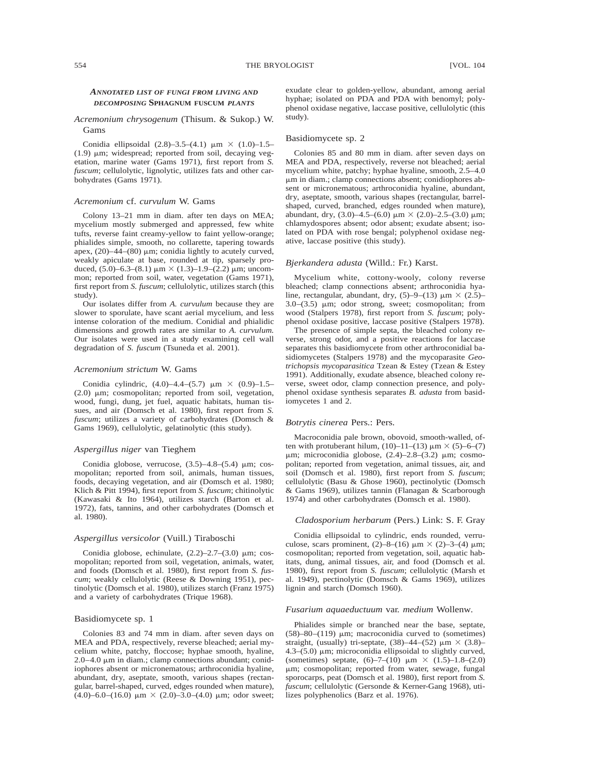## *ANNOTATED LIST OF FUNGI FROM LIVING AND DECOMPOSING* **SPHAGNUM FUSCUM** *PLANTS*

## *Acremonium chrysogenum* (Thisum. & Sukop.) W. Gams

Conidia ellipsoidal  $(2.8)$ –3.5– $(4.1)$   $\mu$ m  $\times$   $(1.0)$ –1.5–  $(1.9)$   $\mu$ m; widespread; reported from soil, decaying vegetation, marine water (Gams 1971), first report from *S. fuscum*; cellulolytic, lignolytic, utilizes fats and other carbohydrates (Gams 1971).

## *Acremonium* cf. *curvulum* W. Gams

Colony 13–21 mm in diam. after ten days on MEA; mycelium mostly submerged and appressed, few white tufts, reverse faint creamy-yellow to faint yellow-orange; phialides simple, smooth, no collarette, tapering towards apex,  $(20)$ –44– $(80)$  µm; conidia lightly to acutely curved, weakly apiculate at base, rounded at tip, sparsely produced,  $(5.0)$ –6.3– $(8.1)$   $\mu$ m  $\times$   $(1.3)$ –1.9– $(2.2)$   $\mu$ m; uncommon; reported from soil, water, vegetation (Gams 1971), first report from *S. fuscum*; cellulolytic, utilizes starch (this study).

Our isolates differ from *A. curvulum* because they are slower to sporulate, have scant aerial mycelium, and less intense coloration of the medium. Conidial and phialidic dimensions and growth rates are similar to *A. curvulum.* Our isolates were used in a study examining cell wall degradation of *S. fuscum* (Tsuneda et al. 2001).

## *Acremonium strictum* W. Gams

Conidia cylindric,  $(4.0)$ –4.4– $(5.7)$   $\mu$ m  $\times$   $(0.9)$ –1.5–  $(2.0)$   $\mu$ m; cosmopolitan; reported from soil, vegetation, wood, fungi, dung, jet fuel, aquatic habitats, human tissues, and air (Domsch et al. 1980), first report from *S. fuscum*; utilizes a variety of carbohydrates (Domsch & Gams 1969), cellulolytic, gelatinolytic (this study).

#### *Aspergillus niger* van Tieghem

Conidia globose, verrucose,  $(3.5)$ -4.8- $(5.4)$  µm; cosmopolitan; reported from soil, animals, human tissues, foods, decaying vegetation, and air (Domsch et al. 1980; Klich & Pitt 1994), first report from *S. fuscum*; chitinolytic (Kawasaki & Ito 1964), utilizes starch (Barton et al. 1972), fats, tannins, and other carbohydrates (Domsch et al. 1980).

## *Aspergillus versicolor* (Vuill.) Tiraboschi

Conidia globose, echinulate,  $(2.2)$ – $2.7$ – $(3.0)$   $\mu$ m; cosmopolitan; reported from soil, vegetation, animals, water, and foods (Domsch et al. 1980), first report from *S. fuscum*; weakly cellulolytic (Reese & Downing 1951), pectinolytic (Domsch et al. 1980), utilizes starch (Franz 1975) and a variety of carbohydrates (Trique 1968).

#### Basidiomycete sp. 1

Colonies 83 and 74 mm in diam. after seven days on MEA and PDA, respectively, reverse bleached; aerial mycelium white, patchy, floccose; hyphae smooth, hyaline,  $2.0-4.0 \mu m$  in diam.; clamp connections abundant; conidiophores absent or micronematous; arthroconidia hyaline, abundant, dry, aseptate, smooth, various shapes (rectangular, barrel-shaped, curved, edges rounded when mature), (4.0)–6.0–(16.0)  $\mu$ m  $\times$  (2.0)–3.0–(4.0)  $\mu$ m; odor sweet; exudate clear to golden-yellow, abundant, among aerial hyphae; isolated on PDA and PDA with benomyl; polyphenol oxidase negative, laccase positive, cellulolytic (this study).

### Basidiomycete sp. 2

Colonies 85 and 80 mm in diam. after seven days on MEA and PDA, respectively, reverse not bleached; aerial mycelium white, patchy; hyphae hyaline, smooth, 2.5–4.0 mm in diam.; clamp connections absent; conidiophores absent or micronematous; arthroconidia hyaline, abundant, dry, aseptate, smooth, various shapes (rectangular, barrelshaped, curved, branched, edges rounded when mature), abundant, dry,  $(3.0)$ –4.5– $(6.0)$  µm  $\times$   $(2.0)$ –2.5– $(3.0)$  µm; chlamydospores absent; odor absent; exudate absent; isolated on PDA with rose bengal; polyphenol oxidase negative, laccase positive (this study).

## *Bjerkandera adusta* (Willd.: Fr.) Karst.

Mycelium white, cottony-wooly, colony reverse bleached; clamp connections absent; arthroconidia hyaline, rectangular, abundant, dry,  $(5)$ –9– $(13)$  µm  $\times$   $(2.5)$ –  $3.0-(3.5)$   $\mu$ m; odor strong, sweet; cosmopolitan; from wood (Stalpers 1978), first report from *S. fuscum*; polyphenol oxidase positive, laccase positive (Stalpers 1978).

The presence of simple septa, the bleached colony reverse, strong odor, and a positive reactions for laccase separates this basidiomycete from other arthroconidial basidiomycetes (Stalpers 1978) and the mycoparasite *Geotrichopsis mycoparasitica* Tzean & Estey (Tzean & Estey 1991). Additionally, exudate absence, bleached colony reverse, sweet odor, clamp connection presence, and polyphenol oxidase synthesis separates *B. adusta* from basidiomycetes 1 and 2.

#### *Botrytis cinerea* Pers.: Pers.

Macroconidia pale brown, obovoid, smooth-walled, often with protuberant hilum,  $(10)$ –11– $(13)$   $\mu$ m  $\times$  (5)–6– $(7)$  $\mu$ m; microconidia globose, (2.4)–2.8–(3.2)  $\mu$ m; cosmopolitan; reported from vegetation, animal tissues, air, and soil (Domsch et al. 1980), first report from *S. fuscum*; cellulolytic (Basu & Ghose 1960), pectinolytic (Domsch & Gams 1969), utilizes tannin (Flanagan & Scarborough 1974) and other carbohydrates (Domsch et al. 1980).

#### *Cladosporium herbarum* (Pers.) Link: S. F. Gray

Conidia ellipsoidal to cylindric, ends rounded, verruculose, scars prominent,  $(2)$ –8– $(16)$   $\mu$ m  $\times$   $(2)$ –3– $(4)$   $\mu$ m; cosmopolitan; reported from vegetation, soil, aquatic habitats, dung, animal tissues, air, and food (Domsch et al. 1980), first report from *S. fuscum*; cellulolytic (Marsh et al. 1949), pectinolytic (Domsch & Gams 1969), utilizes lignin and starch (Domsch 1960).

#### *Fusarium aquaeductuum* var. *medium* Wollenw.

Phialides simple or branched near the base, septate,  $(58)$ –80–(119)  $\mu$ m; macroconidia curved to (sometimes) straight, (usually) tri-septate,  $(38)$ –44– $(52)$  µm  $\times$   $(3.8)$ –  $4.3-(5.0)$   $\mu$ m; microconidia ellipsoidal to slightly curved, (sometimes) septate,  $(6)$ -7- $(10)$   $\mu$ m  $\times$   $(1.5)$ -1.8- $(2.0)$  $\mu$ m; cosmopolitan; reported from water, sewage, fungal sporocarps, peat (Domsch et al. 1980), first report from *S. fuscum*; cellulolytic (Gersonde & Kerner-Gang 1968), utilizes polyphenolics (Barz et al. 1976).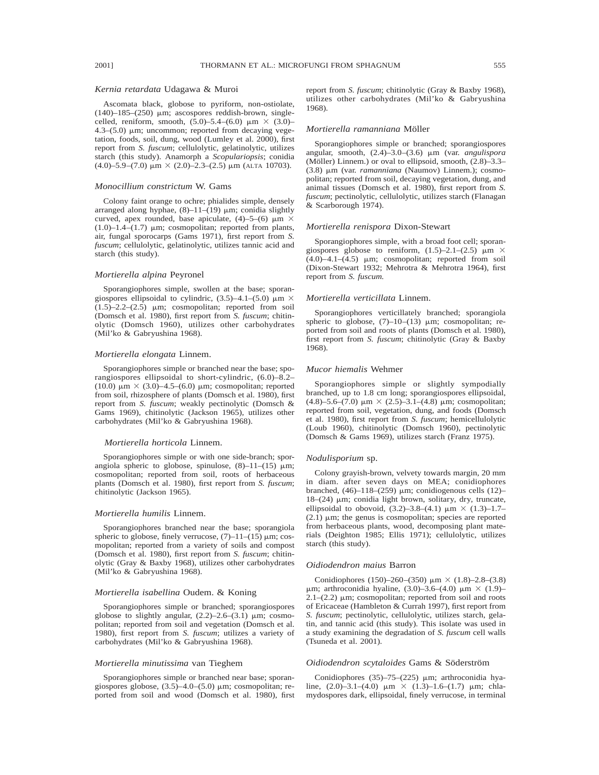## *Kernia retardata* Udagawa & Muroi

Ascomata black, globose to pyriform, non-ostiolate,  $(140)$ –185– $(250)$  µm; ascospores reddish-brown, singlecelled, reniform, smooth,  $(5.0)$ –5.4– $(6.0)$   $\mu$ m  $\times$   $(3.0)$ –  $4.3-(5.0)$  µm; uncommon; reported from decaying vegetation, foods, soil, dung, wood (Lumley et al. 2000), first report from *S. fuscum*; cellulolytic, gelatinolytic, utilizes starch (this study). Anamorph a *Scopulariopsis*; conidia  $(4.0)$ –5.9– $(7.0)$   $\mu$ m  $\times$   $(2.0)$ –2.3– $(2.5)$   $\mu$ m (ALTA 10703).

## *Monocillium constrictum* W. Gams

Colony faint orange to ochre; phialides simple, densely arranged along hyphae,  $(8)-11-(19)$  µm; conidia slightly curved, apex rounded, base apiculate,  $(4)$ –5– $(6)$   $\mu$ m  $\times$ (1.0)–1.4–(1.7)  $\mu$ m; cosmopolitan; reported from plants, air, fungal sporocarps (Gams 1971), first report from *S. fuscum*; cellulolytic, gelatinolytic, utilizes tannic acid and starch (this study).

#### *Mortierella alpina* Peyronel

Sporangiophores simple, swollen at the base; sporangiospores ellipsoidal to cylindric,  $(3.5)$ –4.1– $(5.0)$   $\mu$ m  $\times$  $(1.5)$ –2.2– $(2.5)$  µm; cosmopolitan; reported from soil (Domsch et al. 1980), first report from *S. fuscum*; chitinolytic (Domsch 1960), utilizes other carbohydrates (Mil'ko & Gabryushina 1968).

#### *Mortierella elongata* Linnem.

Sporangiophores simple or branched near the base; sporangiospores ellipsoidal to short-cylindric, (6.0)–8.2– (10.0)  $\mu$ m  $\times$  (3.0)–4.5–(6.0)  $\mu$ m; cosmopolitan; reported from soil, rhizosphere of plants (Domsch et al. 1980), first report from *S. fuscum*; weakly pectinolytic (Domsch & Gams 1969), chitinolytic (Jackson 1965), utilizes other carbohydrates (Mil'ko & Gabryushina 1968).

#### *Mortierella horticola* Linnem.

Sporangiophores simple or with one side-branch; sporangiola spheric to globose, spinulose,  $(8)$ -11- $(15)$   $\mu$ m; cosmopolitan; reported from soil, roots of herbaceous plants (Domsch et al. 1980), first report from *S. fuscum*; chitinolytic (Jackson 1965).

## *Mortierella humilis* Linnem.

Sporangiophores branched near the base; sporangiola spheric to globose, finely verrucose,  $(7)$ – $11$ – $(15)$   $\mu$ m; cosmopolitan; reported from a variety of soils and compost (Domsch et al. 1980), first report from *S. fuscum*; chitinolytic (Gray & Baxby 1968), utilizes other carbohydrates (Mil'ko & Gabryushina 1968).

## *Mortierella isabellina* Oudem. & Koning

Sporangiophores simple or branched; sporangiospores globose to slightly angular,  $(2.2)$ -2.6- $(3.1)$  µm; cosmopolitan; reported from soil and vegetation (Domsch et al. 1980), first report from *S. fuscum*; utilizes a variety of carbohydrates (Mil'ko & Gabryushina 1968).

#### *Mortierella minutissima* van Tieghem

Sporangiophores simple or branched near base; sporangiospores globose,  $(3.5)$ -4.0- $(5.0)$   $\mu$ m; cosmopolitan; reported from soil and wood (Domsch et al. 1980), first report from *S. fuscum*; chitinolytic (Gray & Baxby 1968), utilizes other carbohydrates (Mil'ko & Gabryushina 1968).

#### *Mortierella ramanniana* Möller

Sporangiophores simple or branched; sporangiospores angular, smooth,  $(2.4)$ -3.0- $(3.6)$  µm (var. *angulispora* (Möller) Linnem.) or oval to ellipsoid, smooth,  $(2.8)$ –3.3– (3.8) mm (var. *ramanniana* (Naumov) Linnem.); cosmopolitan; reported from soil, decaying vegetation, dung, and animal tissues (Domsch et al. 1980), first report from *S. fuscum*; pectinolytic, cellulolytic, utilizes starch (Flanagan & Scarborough 1974).

#### *Mortierella renispora* Dixon-Stewart

Sporangiophores simple, with a broad foot cell; sporangiospores globose to reniform,  $(1.5)$ -2.1- $(2.5)$   $\mu$ m  $\times$  $(4.0)$ – $4.1$ – $(4.5)$   $\mu$ m; cosmopolitan; reported from soil (Dixon-Stewart 1932; Mehrotra & Mehrotra 1964), first report from *S. fuscum.*

### *Mortierella verticillata* Linnem.

Sporangiophores verticillately branched; sporangiola spheric to globose,  $(7)$ –10– $(13)$   $\mu$ m; cosmopolitan; reported from soil and roots of plants (Domsch et al. 1980), first report from *S. fuscum*; chitinolytic (Gray & Baxby 1968).

## *Mucor hiemalis* Wehmer

Sporangiophores simple or slightly sympodially branched, up to 1.8 cm long; sporangiospores ellipsoidal, (4.8)–5.6–(7.0)  $\mu$ m  $\times$  (2.5)–3.1–(4.8)  $\mu$ m; cosmopolitan; reported from soil, vegetation, dung, and foods (Domsch et al. 1980), first report from *S. fuscum*; hemicellulolytic (Loub 1960), chitinolytic (Domsch 1960), pectinolytic (Domsch & Gams 1969), utilizes starch (Franz 1975).

#### *Nodulisporium* sp.

Colony grayish-brown, velvety towards margin, 20 mm in diam. after seven days on MEA; conidiophores branched,  $(46)$ –118– $(259)$  µm; conidiogenous cells  $(12)$ –  $18-(24)$  µm; conidia light brown, solitary, dry, truncate, ellipsoidal to obovoid,  $(3.2)$ –3.8– $(4.1)$   $\mu$ m  $\times$   $(1.3)$ –1.7–  $(2.1)$   $\mu$ m; the genus is cosmopolitan; species are reported from herbaceous plants, wood, decomposing plant materials (Deighton 1985; Ellis 1971); cellulolytic, utilizes starch (this study).

#### *Oidiodendron maius* Barron

Conidiophores (150)–260–(350)  $\mu$ m  $\times$  (1.8)–2.8–(3.8)  $\mu$ m; arthroconidia hyaline, (3.0)–3.6–(4.0)  $\mu$ m × (1.9)–  $2.1-(2.2)$  µm; cosmopolitan; reported from soil and roots of Ericaceae (Hambleton & Currah 1997), first report from *S. fuscum*; pectinolytic, cellulolytic, utilizes starch, gelatin, and tannic acid (this study). This isolate was used in a study examining the degradation of *S. fuscum* cell walls (Tsuneda et al. 2001).

#### *Oidiodendron scytaloides* Gams & Söderström

Conidiophores  $(35)$ –75– $(225)$  µm; arthroconidia hyaline,  $(2.0)$ -3.1- $(4.0)$   $\mu$ m  $\times$   $(1.3)$ -1.6- $(1.7)$   $\mu$ m; chlamydospores dark, ellipsoidal, finely verrucose, in terminal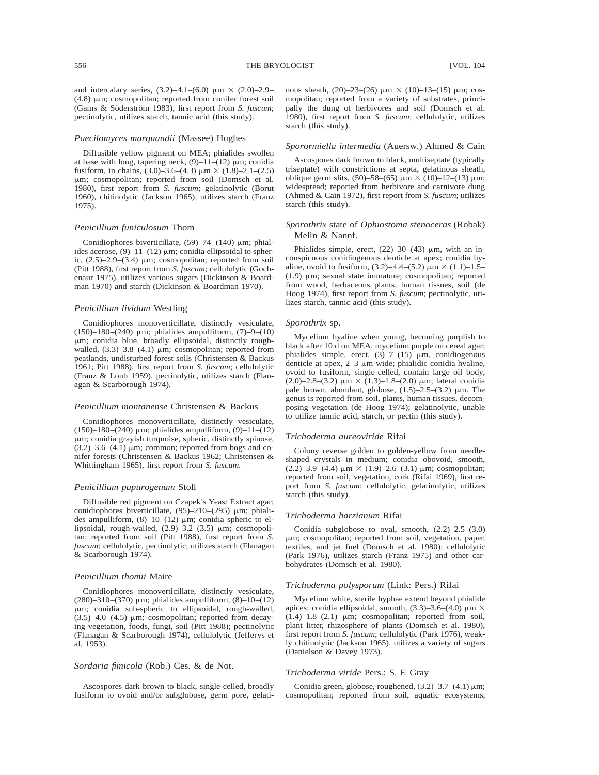## *Paecilomyces marquandii* (Massee) Hughes

Diffusible yellow pigment on MEA; phialides swollen at base with long, tapering neck,  $(9)$ –11– $(12)$  µm; conidia fusiform, in chains,  $(3.0)$ –3.6– $(4.3)$   $\mu$ m  $\times$   $(1.8)$ –2.1– $(2.5)$ mm; cosmopolitan; reported from soil (Domsch et al. 1980), first report from *S. fuscum*; gelatinolytic (Borut 1960), chitinolytic (Jackson 1965), utilizes starch (Franz 1975).

## *Penicillium funiculosum* Thom

Conidiophores biverticillate,  $(59)$ –74– $(140)$  µm; phialides acerose,  $(9)$ –11–(12)  $\mu$ m; conidia ellipsoidal to spheric,  $(2.5)$ -2.9- $(3.4)$   $\mu$ m; cosmopolitan; reported from soil (Pitt 1988), first report from *S. fuscum*; cellulolytic (Gochenaur 1975), utilizes various sugars (Dickinson & Boardman 1970) and starch (Dickinson & Boardman 1970).

#### *Penicillium lividum* Westling

Conidiophores monoverticillate, distinctly vesiculate, (150)–180–(240)  $\mu$ m; phialides ampulliform, (7)–9–(10) mm; conidia blue, broadly ellipsoidal, distinctly roughwalled,  $(3.3)$ –3.8– $(4.1)$  µm; cosmopolitan; reported from peatlands, undisturbed forest soils (Christensen & Backus 1961; Pitt 1988), first report from *S. fuscum*; cellulolytic (Franz & Loub 1959), pectinolytic, utilizes starch (Flanagan & Scarborough 1974).

#### *Penicillium montanense* Christensen & Backus

Conidiophores monoverticillate, distinctly vesiculate, (150)–180–(240)  $\mu$ m; phialides ampulliform, (9)–11–(12) mm; conidia grayish turquoise, spheric, distinctly spinose,  $(3.2)$ –3.6– $(4.1)$  µm; common; reported from bogs and conifer forests (Christensen & Backus 1962; Christensen & Whittingham 1965), first report from *S. fuscum.*

#### *Penicillium pupurogenum* Stoll

Diffusible red pigment on Czapek's Yeast Extract agar; conidiophores biverticillate,  $(95)$ -210- $(295)$  µm; phialides ampulliform,  $(8)-10-(12)$  µm; conidia spheric to ellipsoidal, rough-walled,  $(2.9)$ –3.2– $(3.5)$   $\mu$ m; cosmopolitan; reported from soil (Pitt 1988), first report from *S. fuscum*; cellulolytic, pectinolytic, utilizes starch (Flanagan & Scarborough 1974).

## *Penicillium thomii* Maire

Conidiophores monoverticillate, distinctly vesiculate,  $(280) - 310 - (370)$  µm; phialides ampulliform,  $(8) - 10 - (12)$ mm; conidia sub-spheric to ellipsoidal, rough-walled,  $(3.5)$ –4.0– $(4.5)$   $\mu$ m; cosmopolitan; reported from decaying vegetation, foods, fungi, soil (Pitt 1988); pectinolytic (Flanagan & Scarborough 1974), cellulolytic (Jefferys et al. 1953).

## *Sordaria fimicola* (Rob.) Ces. & de Not.

Ascospores dark brown to black, single-celled, broadly fusiform to ovoid and/or subglobose, germ pore, gelatinous sheath,  $(20)$ –23– $(26)$   $\mu$ m  $\times$   $(10)$ –13– $(15)$   $\mu$ m; cosmopolitan; reported from a variety of substrates, principally the dung of herbivores and soil (Domsch et al. 1980), first report from *S. fuscum*; cellulolytic, utilizes starch (this study).

## *Sporormiella intermedia* (Auersw.) Ahmed & Cain

Ascospores dark brown to black, multiseptate (typically triseptate) with constrictions at septa, gelatinous sheath, oblique germ slits,  $(50)$ –58– $(65)$   $\mu$ m  $\times$   $(10)$ –12– $(13)$   $\mu$ m; widespread; reported from herbivore and carnivore dung (Ahmed & Cain 1972), first report from *S. fuscum*; utilizes starch (this study).

## *Sporothrix* state of *Ophiostoma stenoceras* (Robak) Melin & Nannf.

Phialides simple, erect,  $(22)$ –30– $(43)$   $\mu$ m, with an inconspicuous conidiogenous denticle at apex; conidia hyaline, ovoid to fusiform,  $(3.2)$ –4.4– $(5.2)$   $\mu$ m  $\times$   $(1.1)$ –1.5– (1.9)  $\mu$ m; sexual state immature; cosmopolitan; reported from wood, herbaceous plants, human tissues, soil (de Hoog 1974), first report from *S. fuscum*; pectinolytic, utilizes starch, tannic acid (this study).

#### *Sporothrix* sp.

Mycelium hyaline when young, becoming purplish to black after 10 d on MEA, mycelium purple on cereal agar; phialides simple, erect,  $(3)$ –7– $(15)$  µm, conidiogenous denticle at apex,  $2-3 \mu m$  wide; phialidic conidia hyaline, ovoid to fusiform, single-celled, contain large oil body, (2.0)–2.8–(3.2)  $\mu$ m × (1.3)–1.8–(2.0)  $\mu$ m; lateral conidia pale brown, abundant, globose,  $(1.5)$ –2.5– $(3.2)$  µm. The genus is reported from soil, plants, human tissues, decomposing vegetation (de Hoog 1974); gelatinolytic, unable to utilize tannic acid, starch, or pectin (this study).

## *Trichoderma aureoviride* Rifai

Colony reverse golden to golden-yellow from needleshaped crystals in medium; conidia obovoid, smooth, (2.2)–3.9–(4.4)  $\mu$ m × (1.9)–2.6–(3.1)  $\mu$ m; cosmopolitan; reported from soil, vegetation, cork (Rifai 1969), first report from *S. fuscum*; cellulolytic, gelatinolytic, utilizes starch (this study).

#### *Trichoderma harzianum* Rifai

Conidia subglobose to oval, smooth, (2.2)–2.5–(3.0) mm; cosmopolitan; reported from soil, vegetation, paper, textiles, and jet fuel (Domsch et al. 1980); cellulolytic (Park 1976), utilizes starch (Franz 1975) and other carbohydrates (Domsch et al. 1980).

## *Trichoderma polysporum* (Link: Pers.) Rifai

Mycelium white, sterile hyphae extend beyond phialide apices; conidia ellipsoidal, smooth,  $(3.3)$ –3.6– $(4.0)$   $\mu$ m  $\times$ (1.4)–1.8–(2.1)  $\mu$ m; cosmopolitan; reported from soil, plant litter, rhizosphere of plants (Domsch et al. 1980), first report from *S. fuscum*; cellulolytic (Park 1976), weakly chitinolytic (Jackson 1965), utilizes a variety of sugars (Danielson & Davey 1973).

#### *Trichoderma viride* Pers.: S. F. Gray

Conidia green, globose, roughened,  $(3.2)$ –3.7– $(4.1)$   $\mu$ m; cosmopolitan; reported from soil, aquatic ecosystems,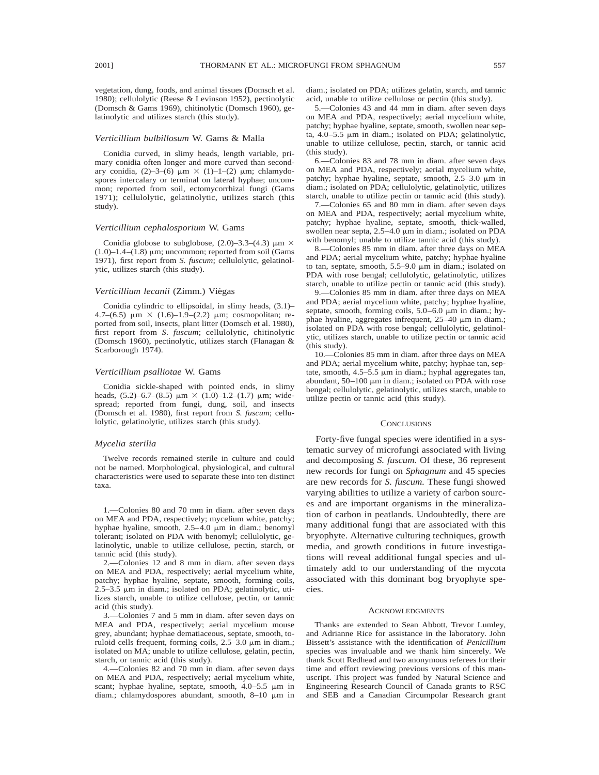vegetation, dung, foods, and animal tissues (Domsch et al. 1980); cellulolytic (Reese & Levinson 1952), pectinolytic (Domsch & Gams 1969), chitinolytic (Domsch 1960), gelatinolytic and utilizes starch (this study).

## *Verticillium bulbillosum* W. Gams & Malla

Conidia curved, in slimy heads, length variable, primary conidia often longer and more curved than secondary conidia,  $(2)$ –3– $(6)$   $\mu$ m  $\times$   $(1)$ –1– $(2)$   $\mu$ m; chlamydospores intercalary or terminal on lateral hyphae; uncommon; reported from soil, ectomycorrhizal fungi (Gams 1971); cellulolytic, gelatinolytic, utilizes starch (this study).

## *Verticillium cephalosporium* W. Gams

Conidia globose to subglobose,  $(2.0)$ –3.3– $(4.3)$   $\mu$ m  $\times$  $(1.0)$ –1.4– $(1.8)$  µm; uncommon; reported from soil (Gams 1971), first report from *S. fuscum*; cellulolytic, gelatinolytic, utilizes starch (this study).

## *Verticillium lecanii* (Zimm.) Vie´gas

Conidia cylindric to ellipsoidal, in slimy heads, (3.1)– 4.7–(6.5)  $\mu$ m × (1.6)–1.9–(2.2)  $\mu$ m; cosmopolitan; reported from soil, insects, plant litter (Domsch et al. 1980), first report from *S. fuscum*; cellulolytic, chitinolytic (Domsch 1960), pectinolytic, utilizes starch (Flanagan & Scarborough 1974).

#### *Verticillium psalliotae* W. Gams

Conidia sickle-shaped with pointed ends, in slimy heads,  $(5.2)$ –6.7– $(8.5)$   $\mu$ m  $\times$   $(1.0)$ –1.2– $(1.7)$   $\mu$ m; widespread; reported from fungi, dung, soil, and insects (Domsch et al. 1980), first report from *S. fuscum*; cellulolytic, gelatinolytic, utilizes starch (this study).

## *Mycelia sterilia*

Twelve records remained sterile in culture and could not be named. Morphological, physiological, and cultural characteristics were used to separate these into ten distinct taxa.

1.—Colonies 80 and 70 mm in diam. after seven days on MEA and PDA, respectively; mycelium white, patchy; hyphae hyaline, smooth,  $2.5-4.0 \mu m$  in diam.; benomyl tolerant; isolated on PDA with benomyl; cellulolytic, gelatinolytic, unable to utilize cellulose, pectin, starch, or tannic acid (this study).

2.—Colonies 12 and 8 mm in diam. after seven days on MEA and PDA, respectively; aerial mycelium white, patchy; hyphae hyaline, septate, smooth, forming coils,  $2.5-3.5$   $\mu$ m in diam.; isolated on PDA; gelatinolytic, utilizes starch, unable to utilize cellulose, pectin, or tannic acid (this study).

3.—Colonies 7 and 5 mm in diam. after seven days on MEA and PDA, respectively; aerial mycelium mouse grey, abundant; hyphae dematiaceous, septate, smooth, toruloid cells frequent, forming coils,  $2.5-3.0 \mu m$  in diam.; isolated on MA; unable to utilize cellulose, gelatin, pectin, starch, or tannic acid (this study).

4.—Colonies 82 and 70 mm in diam. after seven days on MEA and PDA, respectively; aerial mycelium white, scant; hyphae hyaline, septate, smooth,  $4.0-5.5 \mu m$  in diam.; chlamydospores abundant, smooth,  $8-10 \mu m$  in diam.; isolated on PDA; utilizes gelatin, starch, and tannic acid, unable to utilize cellulose or pectin (this study).

5.—Colonies 43 and 44 mm in diam. after seven days on MEA and PDA, respectively; aerial mycelium white, patchy; hyphae hyaline, septate, smooth, swollen near septa,  $4.0-5.5 \mu m$  in diam.; isolated on PDA; gelatinolytic, unable to utilize cellulose, pectin, starch, or tannic acid (this study).

6.—Colonies 83 and 78 mm in diam. after seven days on MEA and PDA, respectively; aerial mycelium white, patchy; hyphae hyaline, septate, smooth,  $2.5-3.0 \mu m$  in diam.; isolated on PDA; cellulolytic, gelatinolytic, utilizes starch, unable to utilize pectin or tannic acid (this study).

7.—Colonies 65 and 80 mm in diam. after seven days on MEA and PDA, respectively; aerial mycelium white, patchy; hyphae hyaline, septate, smooth, thick-walled, swollen near septa,  $2.5-4.0 \mu m$  in diam.; isolated on PDA with benomyl; unable to utilize tannic acid (this study).

8.—Colonies 85 mm in diam. after three days on MEA and PDA; aerial mycelium white, patchy; hyphae hyaline to tan, septate, smooth,  $5.5-9.0 \mu m$  in diam.; isolated on PDA with rose bengal; cellulolytic, gelatinolytic, utilizes starch, unable to utilize pectin or tannic acid (this study).

9.—Colonies 85 mm in diam. after three days on MEA and PDA; aerial mycelium white, patchy; hyphae hyaline, septate, smooth, forming coils,  $5.0-6.0 \mu m$  in diam.; hyphae hyaline, aggregates infrequent,  $25-40 \mu m$  in diam.; isolated on PDA with rose bengal; cellulolytic, gelatinolytic, utilizes starch, unable to utilize pectin or tannic acid (this study).

10.—Colonies 85 mm in diam. after three days on MEA and PDA; aerial mycelium white, patchy; hyphae tan, septate, smooth, 4.5–5.5  $\mu$ m in diam.; hyphal aggregates tan, abundant,  $50-100 \mu m$  in diam.; isolated on PDA with rose bengal; cellulolytic, gelatinolytic, utilizes starch, unable to utilize pectin or tannic acid (this study).

## **CONCLUSIONS**

Forty-five fungal species were identified in a systematic survey of microfungi associated with living and decomposing *S. fuscum.* Of these, 36 represent new records for fungi on *Sphagnum* and 45 species are new records for *S. fuscum.* These fungi showed varying abilities to utilize a variety of carbon sources and are important organisms in the mineralization of carbon in peatlands. Undoubtedly, there are many additional fungi that are associated with this bryophyte. Alternative culturing techniques, growth media, and growth conditions in future investigations will reveal additional fungal species and ultimately add to our understanding of the mycota associated with this dominant bog bryophyte species.

#### **ACKNOWLEDGMENTS**

Thanks are extended to Sean Abbott, Trevor Lumley, and Adrianne Rice for assistance in the laboratory. John Bissett's assistance with the identification of *Penicillium* species was invaluable and we thank him sincerely. We thank Scott Redhead and two anonymous referees for their time and effort reviewing previous versions of this manuscript. This project was funded by Natural Science and Engineering Research Council of Canada grants to RSC and SEB and a Canadian Circumpolar Research grant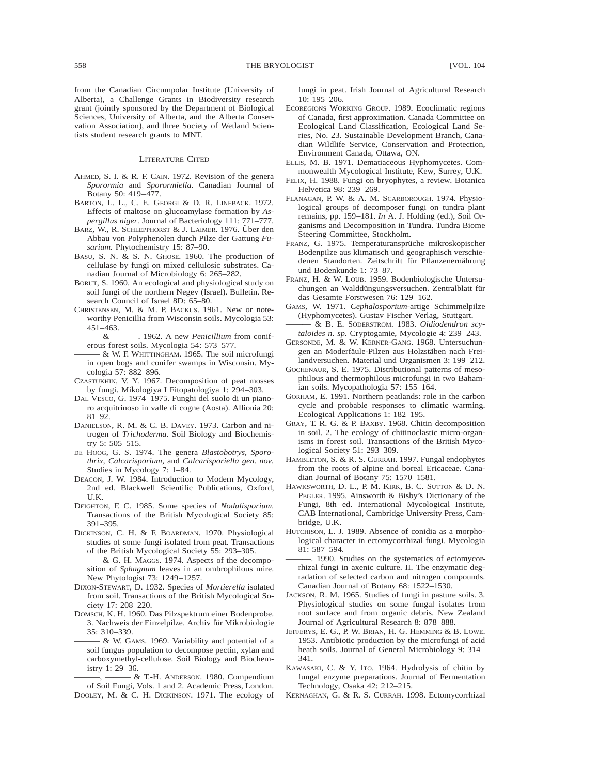from the Canadian Circumpolar Institute (University of Alberta), a Challenge Grants in Biodiversity research grant (jointly sponsored by the Department of Biological Sciences, University of Alberta, and the Alberta Conservation Association), and three Society of Wetland Scientists student research grants to MNT.

#### LITERATURE CITED

- AHMED, S. I. & R. F. CAIN. 1972. Revision of the genera *Sporormia* and *Sporormiella.* Canadian Journal of Botany 50: 419–477.
- BARTON, L. L., C. E. GEORGI & D. R. LINEBACK. 1972. Effects of maltose on glucoamylase formation by *Aspergillus niger.* Journal of Bacteriology 111: 771–777.
- BARZ, W., R. SCHLEPPHORST & J. LAIMER. 1976. Über den Abbau von Polyphenolen durch Pilze der Gattung *Fusarium.* Phytochemistry 15: 87–90.
- BASU, S. N. & S. N. GHOSE. 1960. The production of cellulase by fungi on mixed cellulosic substrates. Canadian Journal of Microbiology 6: 265–282.
- BORUT, S. 1960. An ecological and physiological study on soil fungi of the northern Negev (Israel). Bulletin. Research Council of Israel 8D: 65–80.
- CHRISTENSEN, M. & M. P. BACKUS. 1961. New or noteworthy Penicillia from Wisconsin soils. Mycologia 53: 451–463.
- ——— & ———. 1962. A new *Penicillium* from coniferous forest soils. Mycologia 54: 573–577.
- $-$  & W. F. WHITTINGHAM. 1965. The soil microfungi in open bogs and conifer swamps in Wisconsin. Mycologia 57: 882–896.
- CZASTUKHIN, V. Y. 1967. Decomposition of peat mosses by fungi. Mikologiya I Fitopatologiya 1: 294–303.
- DAL VESCO, G. 1974–1975. Funghi del suolo di un pianoro acquitrinoso in valle di cogne (Aosta). Allionia 20: 81–92.
- DANIELSON, R. M. & C. B. DAVEY. 1973. Carbon and nitrogen of *Trichoderma.* Soil Biology and Biochemistry 5: 505–515.
- DE HOOG, G. S. 1974. The genera *Blastobotrys, Sporothrix, Calcarisporium,* and *Calcarisporiella gen. nov.* Studies in Mycology 7: 1–84.
- DEACON, J. W. 1984. Introduction to Modern Mycology, 2nd ed. Blackwell Scientific Publications, Oxford, U.K.
- DEIGHTON, F. C. 1985. Some species of *Nodulisporium.* Transactions of the British Mycological Society 85: 391–395.
- DICKINSON, C. H. & F. BOARDMAN. 1970. Physiological studies of some fungi isolated from peat. Transactions of the British Mycological Society 55: 293–305.
- & G. H. Maggs. 1974. Aspects of the decomposition of *Sphagnum* leaves in an ombrophilous mire. New Phytologist 73: 1249–1257.
- DIXON-STEWART, D. 1932. Species of *Mortierella* isolated from soil. Transactions of the British Mycological Society 17: 208–220.
- DOMSCH, K. H. 1960. Das Pilzspektrum einer Bodenprobe. 3. Nachweis der Einzelpilze. Archiv für Mikrobiologie 35: 310–339.
	- $&$  W. GAMS. 1969. Variability and potential of a soil fungus population to decompose pectin, xylan and carboxymethyl-cellulose. Soil Biology and Biochemistry 1: 29–36.

- & T.-H. ANDERSON. 1980. Compendium of Soil Fungi, Vols. 1 and 2. Academic Press, London. DOOLEY, M. & C. H. DICKINSON. 1971. The ecology of fungi in peat. Irish Journal of Agricultural Research 10: 195–206.

- ECOREGIONS WORKING GROUP. 1989. Ecoclimatic regions of Canada, first approximation. Canada Committee on Ecological Land Classification, Ecological Land Series, No. 23. Sustainable Development Branch, Canadian Wildlife Service, Conservation and Protection, Environment Canada, Ottawa, ON.
- ELLIS, M. B. 1971. Dematiaceous Hyphomycetes. Commonwealth Mycological Institute, Kew, Surrey, U.K.
- FELIX, H. 1988. Fungi on bryophytes, a review. Botanica Helvetica 98: 239–269.
- FLANAGAN, P. W. & A. M. SCARBOROUGH. 1974. Physiological groups of decomposer fungi on tundra plant remains, pp. 159–181. *In* A. J. Holding (ed.), Soil Organisms and Decomposition in Tundra. Tundra Biome Steering Committee, Stockholm.
- FRANZ, G. 1975. Temperaturansprüche mikroskopischer Bodenpilze aus klimatisch und geographisch verschiedenen Standorten. Zeitschrift für Pflanzenernährung und Bodenkunde 1: 73–87.
- FRANZ, H. & W. LOUB. 1959. Bodenbiologische Untersuchungen an Walddüngungsversuchen. Zentralblatt für das Gesamte Forstwesen 76: 129–162.
- GAMS, W. 1971. *Cephalosporium*-artige Schimmelpilze (Hyphomycetes). Gustav Fischer Verlag, Stuttgart.
- $-$  & B. E. SÖDERSTRÖM. 1983. Oidiodendron scy*taloides n. sp.* Cryptogamie, Mycologie 4: 239–243.
- GERSONDE, M. & W. KERNER-GANG. 1968. Untersuchungen an Moderfäule-Pilzen aus Holzstäben nach Freilandversuchen. Material und Organismen 3: 199–212.
- GOCHENAUR, S. E. 1975. Distributional patterns of mesophilous and thermophilous microfungi in two Bahamian soils. Mycopathologia 57: 155–164.
- GORHAM, E. 1991. Northern peatlands: role in the carbon cycle and probable responses to climatic warming. Ecological Applications 1: 182–195.
- GRAY, T. R. G. & P. BAXBY. 1968. Chitin decomposition in soil. 2. The ecology of chitinoclastic micro-organisms in forest soil. Transactions of the British Mycological Society 51: 293–309.
- HAMBLETON, S. & R. S. CURRAH. 1997. Fungal endophytes from the roots of alpine and boreal Ericaceae. Canadian Journal of Botany 75: 1570–1581.
- HAWKSWORTH, D. L., P. M. KIRK, B. C. SUTTON & D. N. PEGLER. 1995. Ainsworth & Bisby's Dictionary of the Fungi, 8th ed. International Mycological Institute, CAB International, Cambridge University Press, Cambridge, U.K.
- HUTCHISON, L. J. 1989. Absence of conidia as a morphological character in ectomycorrhizal fungi. Mycologia 81: 587–594.
- ———. 1990. Studies on the systematics of ectomycorrhizal fungi in axenic culture. II. The enzymatic degradation of selected carbon and nitrogen compounds. Canadian Journal of Botany 68: 1522–1530.
- JACKSON, R. M. 1965. Studies of fungi in pasture soils. 3. Physiological studies on some fungal isolates from root surface and from organic debris. New Zealand Journal of Agricultural Research 8: 878–888.
- JEFFERYS, E. G., P. W. BRIAN, H. G. HEMMING & B. LOWE. 1953. Antibiotic production by the microfungi of acid heath soils. Journal of General Microbiology 9: 314– 341.
- KAWASAKI, C. & Y. ITO. 1964. Hydrolysis of chitin by fungal enzyme preparations. Journal of Fermentation Technology, Osaka 42: 212–215.
- KERNAGHAN, G. & R. S. CURRAH. 1998. Ectomycorrhizal